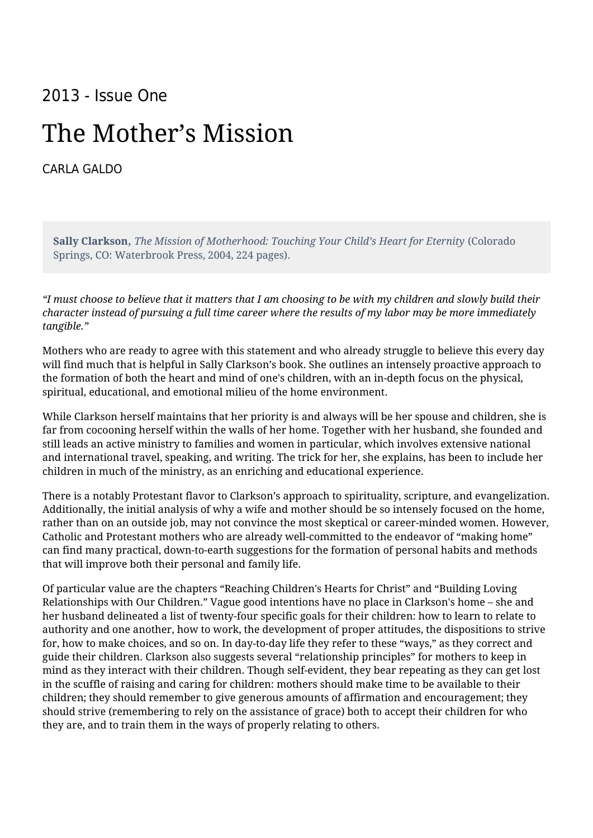## 2013 - Issue One

## The Mother's Mission

[CARLA GALDO](https://humanumreview.com/contributors/carla-galdo)

**Sally Clarkson**, *The Mission of Motherhood: Touching Your Child's Heart for Eternity* (Colorado Springs, CO: Waterbrook Press, 2004, 224 pages).

*"I must choose to believe that it matters that I am choosing to be with my children and slowly build their character instead of pursuing a full time career where the results of my labor may be more immediately tangible."*

Mothers who are ready to agree with this statement and who already struggle to believe this every day will find much that is helpful in Sally Clarkson's book. She outlines an intensely proactive approach to the formation of both the heart and mind of one's children, with an in-depth focus on the physical, spiritual, educational, and emotional milieu of the home environment.

While Clarkson herself maintains that her priority is and always will be her spouse and children, she is far from cocooning herself within the walls of her home. Together with her husband, she founded and still leads an active ministry to families and women in particular, which involves extensive national and international travel, speaking, and writing. The trick for her, she explains, has been to include her children in much of the ministry, as an enriching and educational experience.

There is a notably Protestant flavor to Clarkson's approach to spirituality, scripture, and evangelization. Additionally, the initial analysis of why a wife and mother should be so intensely focused on the home, rather than on an outside job, may not convince the most skeptical or career-minded women. However, Catholic and Protestant mothers who are already well-committed to the endeavor of "making home" can find many practical, down-to-earth suggestions for the formation of personal habits and methods that will improve both their personal and family life.

Of particular value are the chapters "Reaching Children's Hearts for Christ" and "Building Loving Relationships with Our Children." Vague good intentions have no place in Clarkson's home – she and her husband delineated a list of twenty-four specific goals for their children: how to learn to relate to authority and one another, how to work, the development of proper attitudes, the dispositions to strive for, how to make choices, and so on. In day-to-day life they refer to these "ways," as they correct and guide their children. Clarkson also suggests several "relationship principles" for mothers to keep in mind as they interact with their children. Though self-evident, they bear repeating as they can get lost in the scuffle of raising and caring for children: mothers should make time to be available to their children; they should remember to give generous amounts of affirmation and encouragement; they should strive (remembering to rely on the assistance of grace) both to accept their children for who they are, and to train them in the ways of properly relating to others.